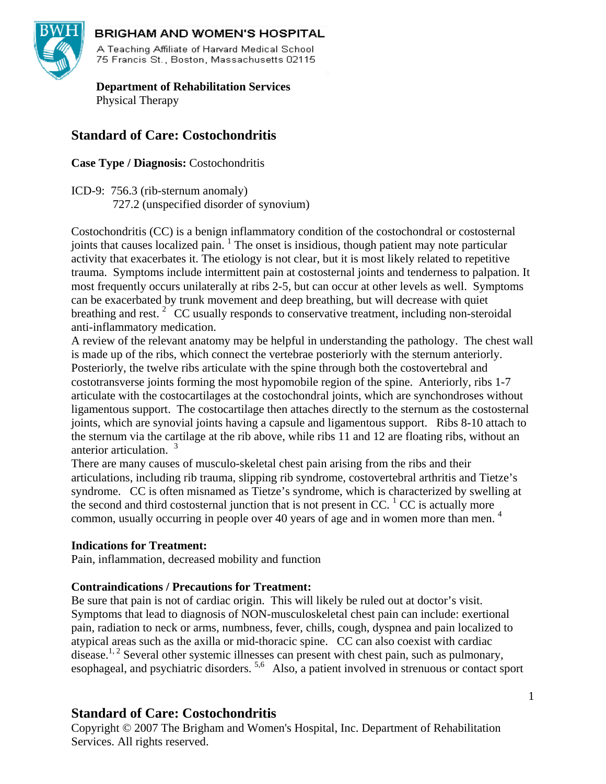

# **BRIGHAM AND WOMEN'S HOSPITAL**

A Teaching Affiliate of Harvard Medical School 75 Francis St., Boston, Massachusetts 02115

 **Department of Rehabilitation Services**  Physical Therapy

# **Standard of Care: Costochondritis**

**Case Type / Diagnosis:** Costochondritis

ICD-9: 756.3 (rib-sternum anomaly) 727.2 (unspecified disorder of synovium)

Costochondritis (CC) is a benign inflammatory condition of the costochondral or costosternal joints that causes localized pain.  $1$  The onset is insidious, though patient may note particular activity that exacerbates it. The etiology is not clear, but it is most likely related to repetitive trauma. Symptoms include intermittent pain at costosternal joints and tenderness to palpation. It most frequently occurs unilaterally at ribs 2-5, but can occur at other levels as well. Symptoms can be exacerbated by trunk movement and deep breathing, but will decrease with quiet breathing and rest.<sup>2</sup> CC usually responds to conservative treatment, including non-steroidal anti-inflammatory medication.

A review of the relevant anatomy may be helpful in understanding the pathology. The chest wall is made up of the ribs, which connect the vertebrae posteriorly with the sternum anteriorly. Posteriorly, the twelve ribs articulate with the spine through both the costovertebral and costotransverse joints forming the most hypomobile region of the spine. Anteriorly, ribs 1-7 articulate with the costocartilages at the costochondral joints, which are synchondroses without ligamentous support. The costocartilage then attaches directly to the sternum as the costosternal joints, which are synovial joints having a capsule and ligamentous support. Ribs 8-10 attach to the sternum via the cartilage at the rib above, while ribs 11 and 12 are floating ribs, without an anterior articulation.<sup>3</sup>

There are many causes of musculo-skeletal chest pain arising from the ribs and their articulations, including rib trauma, slipping rib syndrome, costovertebral arthritis and Tietze's syndrome. CC is often misnamed as Tietze's syndrome, which is characterized by swelling at the second and third costosternal junction that is not present in CC.  $\rm ^1$  CC is actually more common, usually occurring in people over 40 years of age and in women more than men. 4

# **Indications for Treatment:**

Pain, inflammation, decreased mobility and function

### **Contraindications / Precautions for Treatment:**

Be sure that pain is not of cardiac origin. This will likely be ruled out at doctor's visit. Symptoms that lead to diagnosis of NON-musculoskeletal chest pain can include: exertional pain, radiation to neck or arms, numbness, fever, chills, cough, dyspnea and pain localized to atypical areas such as the axilla or mid-thoracic spine. CC can also coexist with cardiac disease.<sup>1, 2</sup> Several other systemic illnesses can present with chest pain, such as pulmonary, esophageal, and psychiatric disorders. 5,6 Also, a patient involved in strenuous or contact sport

# **Standard of Care: Costochondritis**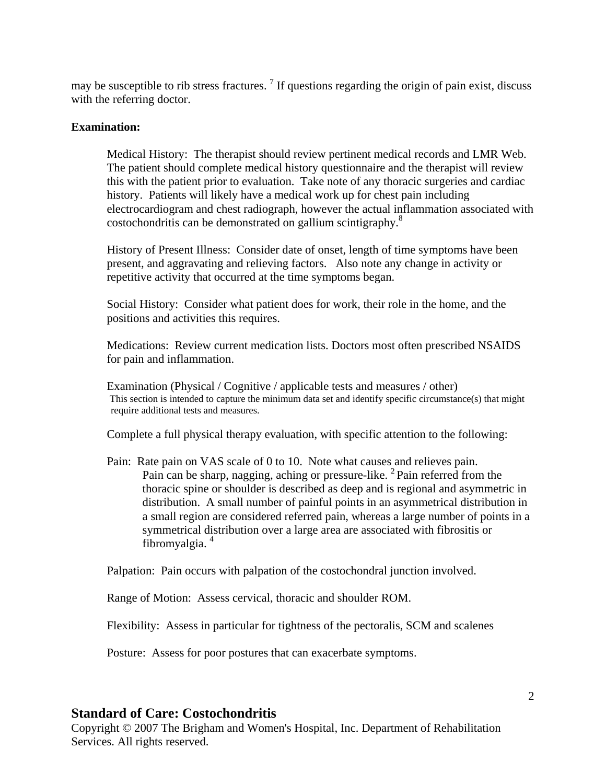may be susceptible to rib stress fractures.  $\frac{7}{1}$  If questions regarding the origin of pain exist, discuss with the referring doctor.

#### **Examination:**

Medical History: The therapist should review pertinent medical records and LMR Web. The patient should complete medical history questionnaire and the therapist will review this with the patient prior to evaluation. Take note of any thoracic surgeries and cardiac history. Patients will likely have a medical work up for chest pain including electrocardiogram and chest radiograph, however the actual inflammation associated with costochondritis can be demonstrated on gallium scintigraphy.<sup>8</sup>

History of Present Illness: Consider date of onset, length of time symptoms have been present, and aggravating and relieving factors. Also note any change in activity or repetitive activity that occurred at the time symptoms began.

Social History: Consider what patient does for work, their role in the home, and the positions and activities this requires.

Medications: Review current medication lists. Doctors most often prescribed NSAIDS for pain and inflammation.

Examination (Physical / Cognitive / applicable tests and measures / other)<br>This section is intended to capture the minimum data set and identify specific circumstance(s) that might require additional tests and measures.

Complete a full physical therapy evaluation, with specific attention to the following:

Pain: Rate pain on VAS scale of 0 to 10. Note what causes and relieves pain. Pain can be sharp, nagging, aching or pressure-like.  $2$  Pain referred from the thoracic spine or shoulder is described as deep and is regional and asymmetric in distribution. A small number of painful points in an asymmetrical distribution in a small region are considered referred pain, whereas a large number of points in a symmetrical distribution over a large area are associated with fibrositis or fibromyalgia. 4

Palpation: Pain occurs with palpation of the costochondral junction involved.

Range of Motion: Assess cervical, thoracic and shoulder ROM.

Flexibility: Assess in particular for tightness of the pectoralis, SCM and scalenes

Posture: Assess for poor postures that can exacerbate symptoms.

### **Standard of Care: Costochondritis**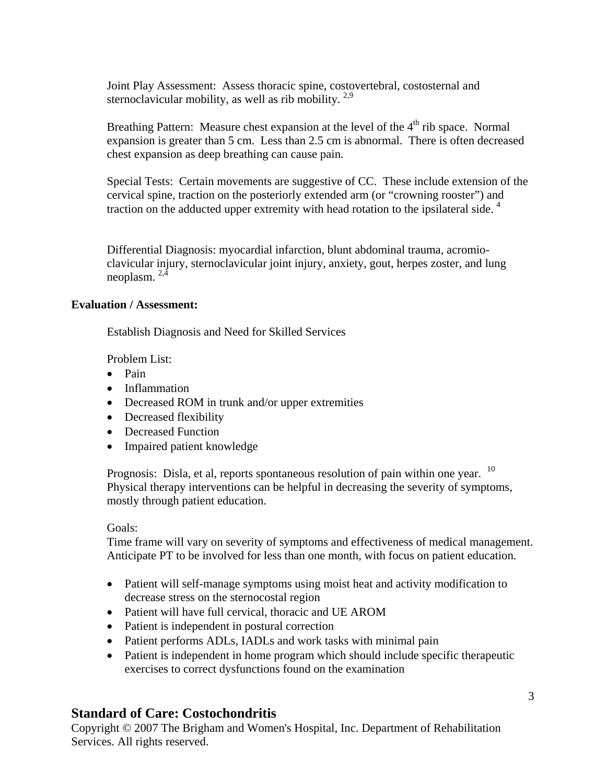Joint Play Assessment: Assess thoracic spine, costovertebral, costosternal and sternoclavicular mobility, as well as rib mobility.  $2.9$ 

Breathing Pattern: Measure chest expansion at the level of the  $4<sup>th</sup>$  rib space. Normal expansion is greater than 5 cm. Less than 2.5 cm is abnormal. There is often decreased chest expansion as deep breathing can cause pain.

Special Tests: Certain movements are suggestive of CC. These include extension of the cervical spine, traction on the posteriorly extended arm (or "crowning rooster") and traction on the adducted upper extremity with head rotation to the ipsilateral side.<sup>4</sup>

Differential Diagnosis: myocardial infarction, blunt abdominal trauma, acromioclavicular injury, sternoclavicular joint injury, anxiety, gout, herpes zoster, and lung neoplasm. 2,4

### **Evaluation / Assessment:**

Establish Diagnosis and Need for Skilled Services

Problem List:

- Pain
- Inflammation
- Decreased ROM in trunk and/or upper extremities
- Decreased flexibility
- Decreased Function
- Impaired patient knowledge

Prognosis: Disla, et al, reports spontaneous resolution of pain within one year. <sup>10</sup> Physical therapy interventions can be helpful in decreasing the severity of symptoms, mostly through patient education.

### Goals:

Time frame will vary on severity of symptoms and effectiveness of medical management. Anticipate PT to be involved for less than one month, with focus on patient education.

- Patient will self-manage symptoms using moist heat and activity modification to decrease stress on the sternocostal region
- Patient will have full cervical, thoracic and UE AROM
- Patient is independent in postural correction
- Patient performs ADLs, IADLs and work tasks with minimal pain
- Patient is independent in home program which should include specific therapeutic exercises to correct dysfunctions found on the examination

# **Standard of Care: Costochondritis**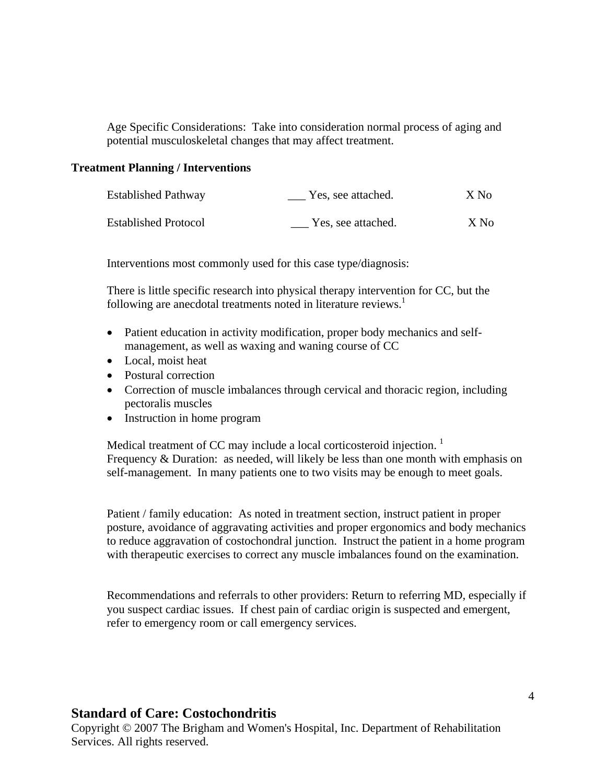Age Specific Considerations: Take into consideration normal process of aging and potential musculoskeletal changes that may affect treatment.

#### **Treatment Planning / Interventions**

| <b>Established Pathway</b>  | Yes, see attached. | X No |
|-----------------------------|--------------------|------|
| <b>Established Protocol</b> | Yes, see attached. | X No |

Interventions most commonly used for this case type/diagnosis:

There is little specific research into physical therapy intervention for CC, but the following are anecdotal treatments noted in literature reviews.<sup>1</sup>

- Patient education in activity modification, proper body mechanics and selfmanagement, as well as waxing and waning course of CC
- Local, moist heat
- Postural correction
- Correction of muscle imbalances through cervical and thoracic region, including pectoralis muscles
- Instruction in home program

Medical treatment of CC may include a local corticosteroid injection.<sup>1</sup> Frequency & Duration: as needed, will likely be less than one month with emphasis on self-management. In many patients one to two visits may be enough to meet goals.

Patient / family education: As noted in treatment section, instruct patient in proper posture, avoidance of aggravating activities and proper ergonomics and body mechanics to reduce aggravation of costochondral junction. Instruct the patient in a home program with therapeutic exercises to correct any muscle imbalances found on the examination.

Recommendations and referrals to other providers: Return to referring MD, especially if you suspect cardiac issues. If chest pain of cardiac origin is suspected and emergent, refer to emergency room or call emergency services.

# **Standard of Care: Costochondritis**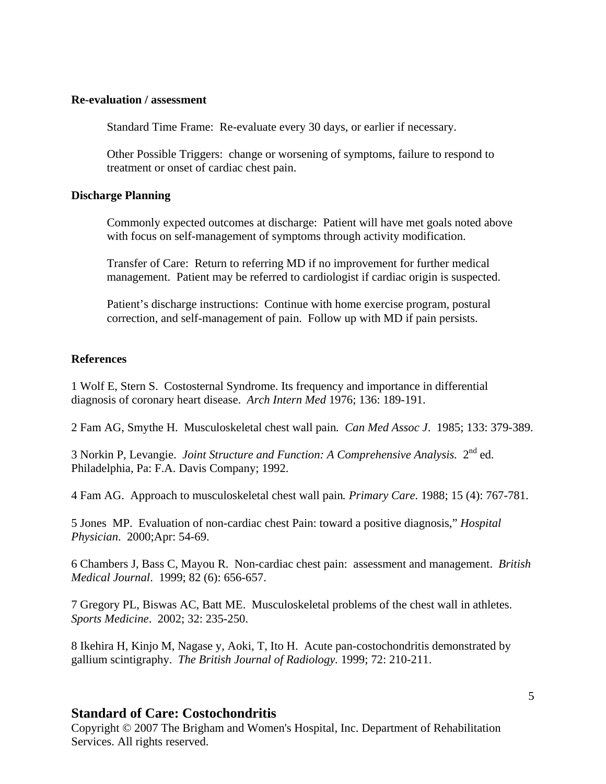#### **Re-evaluation / assessment**

Standard Time Frame: Re-evaluate every 30 days, or earlier if necessary.

Other Possible Triggers: change or worsening of symptoms, failure to respond to treatment or onset of cardiac chest pain.

#### **Discharge Planning**

Commonly expected outcomes at discharge: Patient will have met goals noted above with focus on self-management of symptoms through activity modification.

Transfer of Care: Return to referring MD if no improvement for further medical management. Patient may be referred to cardiologist if cardiac origin is suspected.

Patient's discharge instructions: Continue with home exercise program, postural correction, and self-management of pain. Follow up with MD if pain persists.

### **References**

1 Wolf E, Stern S. Costosternal Syndrome. Its frequency and importance in differential diagnosis of coronary heart disease. *Arch Intern Med* 1976; 136: 189-191.

2 Fam AG, Smythe H. Musculoskeletal chest wall pain*. Can Med Assoc J*. 1985; 133: 379-389.

3 Norkin P, Levangie. *Joint Structure and Function: A Comprehensive Analysis.* 2nd ed. Philadelphia, Pa: F.A. Davis Company; 1992.

4 Fam AG. Approach to musculoskeletal chest wall pain*. Primary Care*. 1988; 15 (4): 767-781.

5 Jones MP. Evaluation of non-cardiac chest Pain: toward a positive diagnosis," *Hospital Physician*. 2000;Apr: 54-69.

6 Chambers J, Bass C, Mayou R. Non-cardiac chest pain: assessment and management. *British Medical Journal*. 1999; 82 (6): 656-657.

7 Gregory PL, Biswas AC, Batt ME. Musculoskeletal problems of the chest wall in athletes. *Sports Medicine*. 2002; 32: 235-250.

8 Ikehira H, Kinjo M, Nagase y, Aoki, T, Ito H. Acute pan-costochondritis demonstrated by gallium scintigraphy. *The British Journal of Radiology.* 1999; 72: 210-211.

# **Standard of Care: Costochondritis**